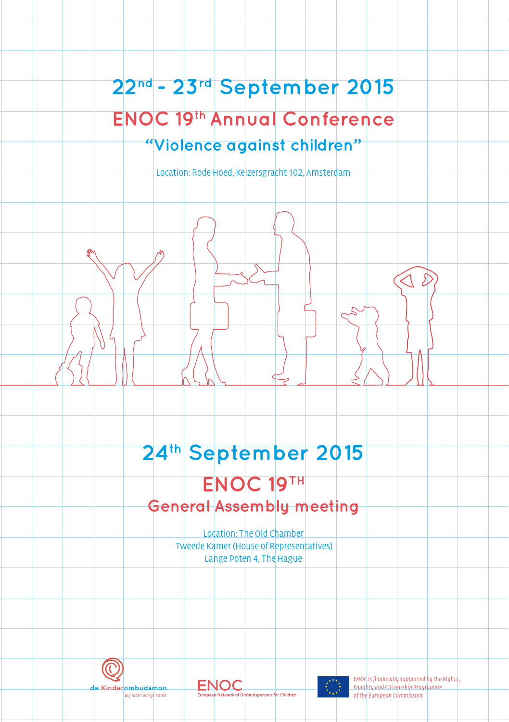# **22nd - 23rd September 2015 ENOC 19th Annual Conference "Violence against children"**

Location: Rode Hoed, Keizersgracht 102, Amsterdam

# **24th September 2015**

# **ENOC 19TH General Assembly meeting**

Location: The Old Chamber Tweede Kamer (House of Representatives) Lange Poten 4, The Hague



**ENOC** wij laten van je horen





ENOC is financially supported by the Rights, Equality and Citizenship Programme of the European Commission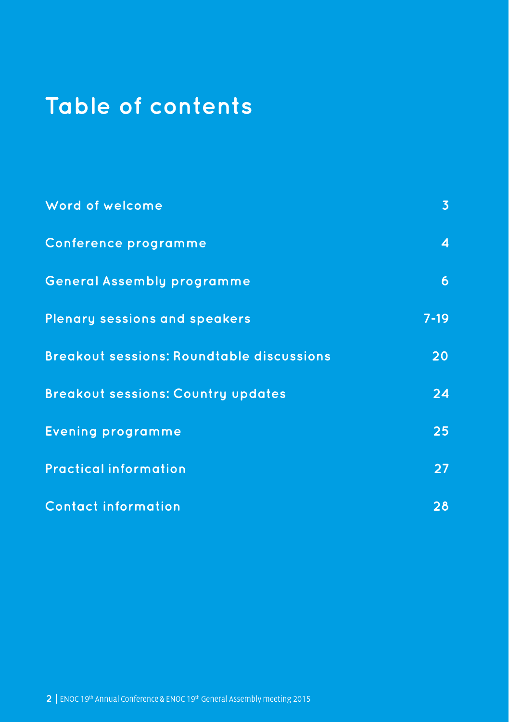### het Verdrag inzake de Rechten van het kind opgesteld, kortweg: het Kinderrechtenverdrag. Daarin staan regels die moeten garanderen dat kinderen zich op een goede manier kunnen **Table of contents**

| Word of welcome                                  | 3 <sup>5</sup> |
|--------------------------------------------------|----------------|
| Conference programme                             | $\overline{4}$ |
| <b>General Assembly programme</b>                | $\overline{6}$ |
| <b>Plenary sessions and speakers</b>             | $7-19$         |
| <b>Breakout sessions: Roundtable discussions</b> | 20             |
| <b>Breakout sessions: Country updates</b>        | 24             |
| <b>Evening programme</b>                         | 25             |
| <b>Practical information</b>                     | 27             |
| <b>Contact information</b>                       | 28             |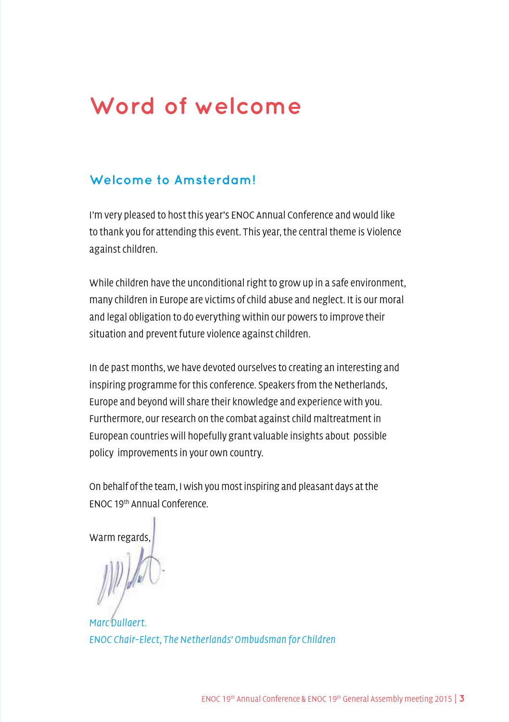# **Word of welcome**

### <span id="page-2-0"></span>**Welcome to Amsterdam!**

I'm very pleased to host this year's ENOC Annual Conference and would like to thank you for attending this event. This year, the central theme is Violence against children.

While children have the unconditional right to grow up in a safe environment, many children in Europe are victims of child abuse and neglect. It is our moral and legal obligation to do everything within our powers to improve their situation and prevent future violence against children.

In de past months, we have devoted ourselves to creating an interesting and inspiring programme for this conference. Speakers from the Netherlands, Europe and beyond will share their knowledge and experience with you. Furthermore, our research on the combat against child maltreatment in European countries will hopefully grant valuable insights about possible policy improvements in your own country.

On behalf of the team, I wish you most inspiring and pleasant days at the ENOC 19th Annual Conference.

Warm regards,

Marc Dullaert. ENOC Chair-Elect, The Netherlands' Ombudsman for Children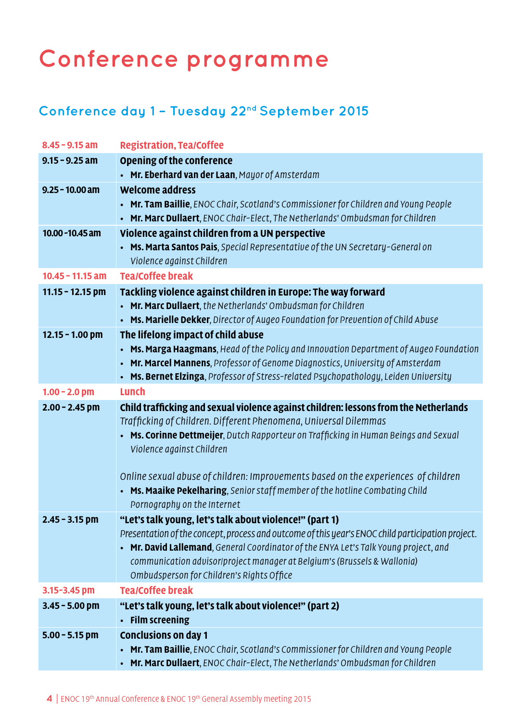# <span id="page-3-0"></span>**Conference programme**

# **Conference day 1 – Tuesday 22nd September 2015**

| $8.45 - 9.15$ am   | <b>Registration, Tea/Coffee</b>                                                                             |
|--------------------|-------------------------------------------------------------------------------------------------------------|
| $9.15 - 9.25$ am   | Opening of the conference                                                                                   |
|                    | • Mr. Eberhard van der Laan, Mayor of Amsterdam                                                             |
| $9.25 - 10.00$ am  | <b>Welcome address</b>                                                                                      |
|                    | • Mr. Tam Baillie, ENOC Chair, Scotland's Commissioner for Children and Young People                        |
|                    | • Mr. Marc Dullaert, ENOC Chair-Elect, The Netherlands' Ombudsman for Children                              |
| $10.00 - 10.45$ am | Violence against children from a UN perspective                                                             |
|                    | • Ms. Marta Santos Pais, Special Representative of the UN Secretary-General on                              |
|                    | Violence against Children                                                                                   |
| $10.45 - 11.15$ am | <b>Tea/Coffee break</b>                                                                                     |
| $11.15 - 12.15$ pm | Tackling violence against children in Europe: The way forward                                               |
|                    | • Mr. Marc Dullaert, the Netherlands' Ombudsman for Children                                                |
|                    | • Ms. Marielle Dekker, Director of Augeo Foundation for Prevention of Child Abuse                           |
| $12.15 - 1.00$ pm  | The lifelong impact of child abuse                                                                          |
|                    | • Ms. Marga Haagmans, Head of the Policy and Innovation Department of Augeo Foundation                      |
|                    | • Mr. Marcel Mannens, Professor of Genome Diagnostics, University of Amsterdam                              |
|                    | • Ms. Bernet Elzinga, Professor of Stress-related Psychopathology, Leiden University                        |
| $1.00 - 2.0$ pm    | Lunch                                                                                                       |
| $2.00 - 2.45$ pm   | Child trafficking and sexual violence against children: lessons from the Netherlands                        |
|                    | Trafficking of Children. Different Phenomena, Universal Dilemmas                                            |
|                    | • Ms. Corinne Dettmeijer, Dutch Rapporteur on Trafficking in Human Beings and Sexual                        |
|                    | Violence against Children                                                                                   |
|                    |                                                                                                             |
|                    | Online sexual abuse of children: Improvements based on the experiences of children                          |
|                    | • Ms. Maaike Pekelharing, Senior staff member of the hotline Combating Child<br>Pornography on the Internet |
| $2.45 - 3.15$ pm   | "Let's talk young, let's talk about violence!" (part 1)                                                     |
|                    | Presentation of the concept, process and outcome of this year's ENOC child participation project.           |
|                    | • Mr. David Lallemand, General Coordinator of the ENYA Let's Talk Young project, and                        |
|                    | communication advisor/project manager at Belgium's (Brussels & Wallonia)                                    |
|                    | Ombudsperson for Children's Rights Office                                                                   |
| 3.15-3.45 pm       | <b>Tea/Coffee break</b>                                                                                     |
| $3.45 - 5.00$ pm   | "Let's talk young, let's talk about violence!" (part 2)                                                     |
|                    | • Film screening                                                                                            |
| $5.00 - 5.15$ pm   | <b>Conclusions on day 1</b>                                                                                 |
|                    | • Mr. Tam Baillie, ENOC Chair, Scotland's Commissioner for Children and Young People                        |
|                    |                                                                                                             |
|                    | • Mr. Marc Dullaert, ENOC Chair-Elect, The Netherlands' Ombudsman for Children                              |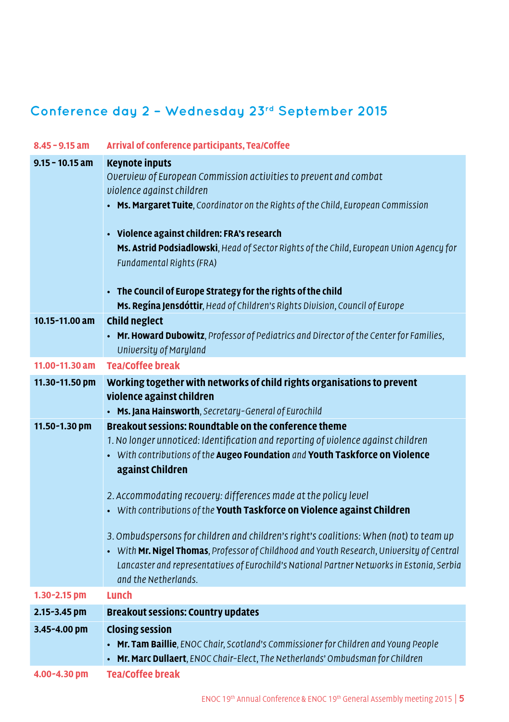# **Conference day 2 – Wednesday 23rd September 2015**

| $8.45 - 9.15$ am  | Arrival of conference participants, Tea/Coffee                                                                                                                                                                                                                                                                                                                                                                                                                                                                                                                                                                                                                                                            |
|-------------------|-----------------------------------------------------------------------------------------------------------------------------------------------------------------------------------------------------------------------------------------------------------------------------------------------------------------------------------------------------------------------------------------------------------------------------------------------------------------------------------------------------------------------------------------------------------------------------------------------------------------------------------------------------------------------------------------------------------|
| $9.15 - 10.15$ am | <b>Keynote inputs</b><br>Overview of European Commission activities to prevent and combat<br>violence against children<br>• Ms. Margaret Tuite, Coordinator on the Rights of the Child, European Commission<br>• Violence against children: FRA's research<br>Ms. Astrid Podsiadlowski, Head of Sector Rights of the Child, European Union Agency for<br>Fundamental Rights (FRA)<br>• The Council of Europe Strategy for the rights of the child<br>Ms. Regina Jensdóttir, Head of Children's Rights Division, Council of Europe                                                                                                                                                                         |
| 10.15-11.00 am    | <b>Child neglect</b><br>• Mr. Howard Dubowitz, Professor of Pediatrics and Director of the Center for Families,                                                                                                                                                                                                                                                                                                                                                                                                                                                                                                                                                                                           |
|                   | University of Maryland                                                                                                                                                                                                                                                                                                                                                                                                                                                                                                                                                                                                                                                                                    |
| 11.00-11.30 am    | <b>Tea/Coffee break</b>                                                                                                                                                                                                                                                                                                                                                                                                                                                                                                                                                                                                                                                                                   |
| 11.30-11.50 pm    | Working together with networks of child rights organisations to prevent<br>violence against children<br>• Ms. Jana Hainsworth, Secretary-General of Eurochild                                                                                                                                                                                                                                                                                                                                                                                                                                                                                                                                             |
| 11.50-1.30 pm     | Breakout sessions: Roundtable on the conference theme<br>1. No longer unnoticed: Identification and reporting of violence against children<br>• With contributions of the Augeo Foundation and Youth Taskforce on Violence<br>against Children<br>2. Accommodating recovery: differences made at the policy level<br>• With contributions of the Youth Taskforce on Violence against Children<br>3. Ombudspersons for children and children's right's coalitions: When (not) to team up<br>• With Mr. Nigel Thomas, Professor of Childhood and Youth Research, University of Central<br>Lancaster and representatives of Eurochild's National Partner Networks in Estonia, Serbia<br>and the Netherlands. |
| 1.30-2.15 pm      | Lunch                                                                                                                                                                                                                                                                                                                                                                                                                                                                                                                                                                                                                                                                                                     |
| 2.15-3.45 pm      | <b>Breakout sessions: Country updates</b>                                                                                                                                                                                                                                                                                                                                                                                                                                                                                                                                                                                                                                                                 |
| 3.45-4.00 pm      | <b>Closing session</b><br>• Mr. Tam Baillie, ENOC Chair, Scotland's Commissioner for Children and Young People<br>• Mr. Marc Dullaert, ENOC Chair-Elect, The Netherlands' Ombudsman for Children                                                                                                                                                                                                                                                                                                                                                                                                                                                                                                          |
| 4.00-4.30 pm      |                                                                                                                                                                                                                                                                                                                                                                                                                                                                                                                                                                                                                                                                                                           |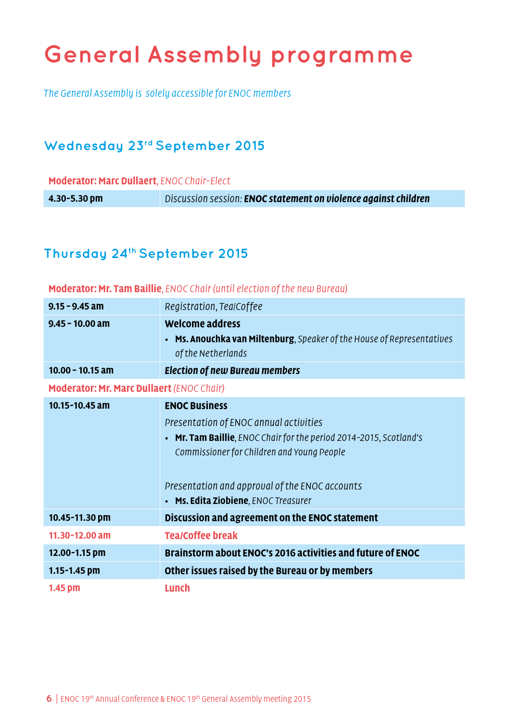# <span id="page-5-0"></span>**General Assembly programme**

The General Assembly is solely accessible for ENOC members

## **Wednesday 23rd September 2015**

**Moderator: Marc Dullaert**, ENOC Chair-Elect

**4.30-5.30 pm** Discussion session: **ENOC statement on violence against children**

## **Thursday 24th September 2015**

#### **Moderator: Mr. Tam Baillie**, ENOC Chair (until election of the new Bureau)

| $9.15 - 9.45$ am                                 | Registration, TealCoffee                                                                                                                                                                                                                                                                        |  |  |
|--------------------------------------------------|-------------------------------------------------------------------------------------------------------------------------------------------------------------------------------------------------------------------------------------------------------------------------------------------------|--|--|
| $9.45 - 10.00$ am                                | Welcome address<br><b>Ms. Anouchka van Miltenburg</b> , Speaker of the House of Representatives<br>$\bullet$<br>of the Netherlands                                                                                                                                                              |  |  |
| $10.00 - 10.15$ am                               | <b>Election of new Bureau members</b>                                                                                                                                                                                                                                                           |  |  |
| <b>Moderator: Mr. Marc Dullaert (ENOC Chair)</b> |                                                                                                                                                                                                                                                                                                 |  |  |
| 10.15-10.45 am                                   | <b>ENOC Business</b><br>Presentation of ENOC annual activities<br><b>Mr. Tam Baillie</b> , ENOC Chair for the period 2014-2015, Scotland's<br>$\bullet$<br>Commissioner for Children and Young People<br>Presentation and approval of the ENOC accounts<br>• Ms. Edita Ziobiene, ENOC Treasurer |  |  |
| 10.45-11.30 pm                                   | Discussion and agreement on the ENOC statement                                                                                                                                                                                                                                                  |  |  |
| $11.30 - 12.00$ am                               | <b>Tea/Coffee break</b>                                                                                                                                                                                                                                                                         |  |  |
| 12.00-1.15 pm                                    | Brainstorm about ENOC's 2016 activities and future of ENOC                                                                                                                                                                                                                                      |  |  |
| $1.15 - 1.45$ pm                                 | Other issues raised by the Bureau or by members                                                                                                                                                                                                                                                 |  |  |
| 1.45 pm                                          | Lunch                                                                                                                                                                                                                                                                                           |  |  |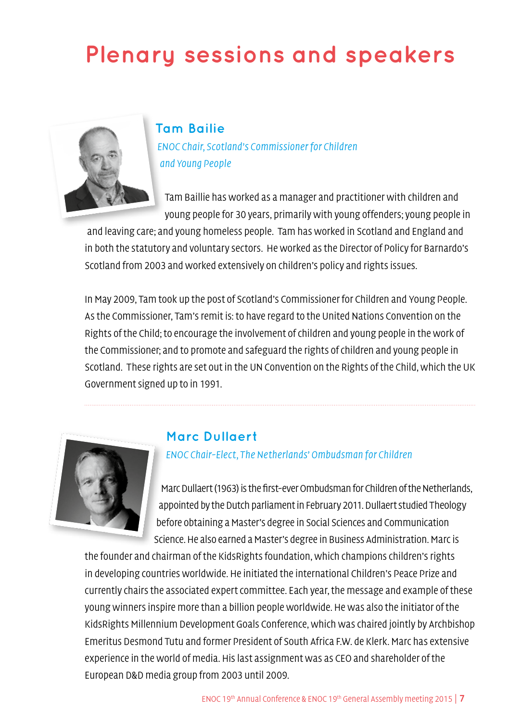# <span id="page-6-0"></span>**Plenary sessions and speakers**



**Tam Bailie** ENOC Chair, Scotland's Commissioner for Children and Young People

Tam Baillie has worked as a manager and practitioner with children and young people for 30 years, primarily with young offenders; young people in

and leaving care; and young homeless people. Tam has worked in Scotland and England and in both the statutory and voluntary sectors. He worked as the Director of Policy for Barnardo's Scotland from 2003 and worked extensively on children's policy and rights issues.

In May 2009, Tam took up the post of Scotland's Commissioner for Children and Young People. As the Commissioner, Tam's remit is: to have regard to the United Nations Convention on the Rights of the Child; to encourage the involvement of children and young people in the work of the Commissioner; and to promote and safeguard the rights of children and young people in Scotland. These rights are set out in the UN Convention on the Rights of the Child, which the UK Government signed up to in 1991.



### **Marc Dullaert**

ENOC Chair-Elect, The Netherlands' Ombudsman for Children

Marc Dullaert (1963) is the first-ever Ombudsman for Children of the Netherlands, appointed by the Dutch parliament in February 2011. Dullaert studied Theology before obtaining a Master's degree in Social Sciences and Communication Science. He also earned a Master's degree in Business Administration. Marc is

the founder and chairman of the KidsRights foundation, which champions children's rights in developing countries worldwide. He initiated the international Children's Peace Prize and currently chairs the associated expert committee. Each year, the message and example of these young winners inspire more than a billion people worldwide. He was also the initiator of the KidsRights Millennium Development Goals Conference, which was chaired jointly by Archbishop Emeritus Desmond Tutu and former President of South Africa F.W. de Klerk. Marc has extensive experience in the world of media. His last assignment was as CEO and shareholder of the European D&D media group from 2003 until 2009.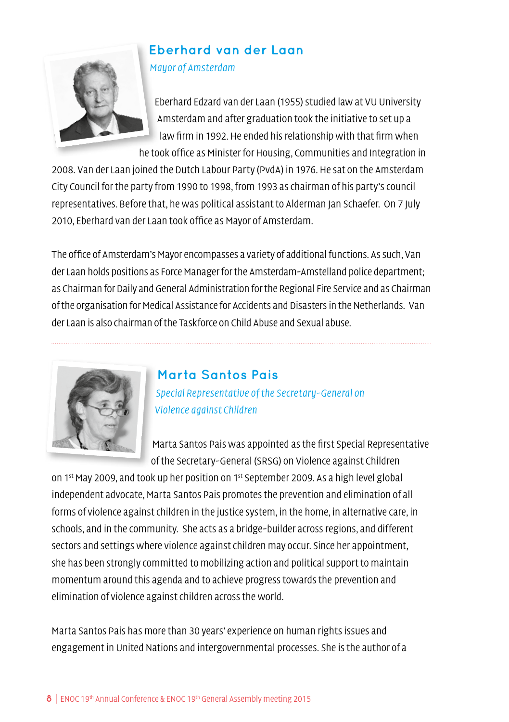

# **Eberhard van der Laan**

Mayor of Amsterdam

Eberhard Edzard van der Laan (1955) studied law at VU University Amsterdam and after graduation took the initiative to set up a law firm in 1992. He ended his relationship with that firm when he took office as Minister for Housing, Communities and Integration in

2008. Van der Laan joined the Dutch Labour Party (PvdA) in 1976. He sat on the Amsterdam City Council for the party from 1990 to 1998, from 1993 as chairman of his party's council representatives. Before that, he was political assistant to Alderman Jan Schaefer. On 7 July 2010, Eberhard van der Laan took office as Mayor of Amsterdam.

The office of Amsterdam's Mayor encompasses a variety of additional functions. As such, Van der Laan holds positions as Force Manager for the Amsterdam-Amstelland police department; as Chairman for Daily and General Administration for the Regional Fire Service and as Chairman of the organisation for Medical Assistance for Accidents and Disasters in the Netherlands. Van der Laan is also chairman of the Taskforce on Child Abuse and Sexual abuse.



# **Marta Santos Pais** Special Representative of the Secretary-General on Violence against Children

Marta Santos Pais was appointed as the first Special Representative of the Secretary-General (SRSG) on Violence against Children

on 1st May 2009, and took up her position on 1st September 2009. As a high level global independent advocate, Marta Santos Pais promotes the prevention and elimination of all forms of violence against children in the justice system, in the home, in alternative care, in schools, and in the community. She acts as a bridge-builder across regions, and different sectors and settings where violence against children may occur. Since her appointment, she has been strongly committed to mobilizing action and political support to maintain momentum around this agenda and to achieve progress towards the prevention and elimination of violence against children across the world.

Marta Santos Pais has more than 30 years' experience on human rights issues and engagement in United Nations and intergovernmental processes. She is the author of a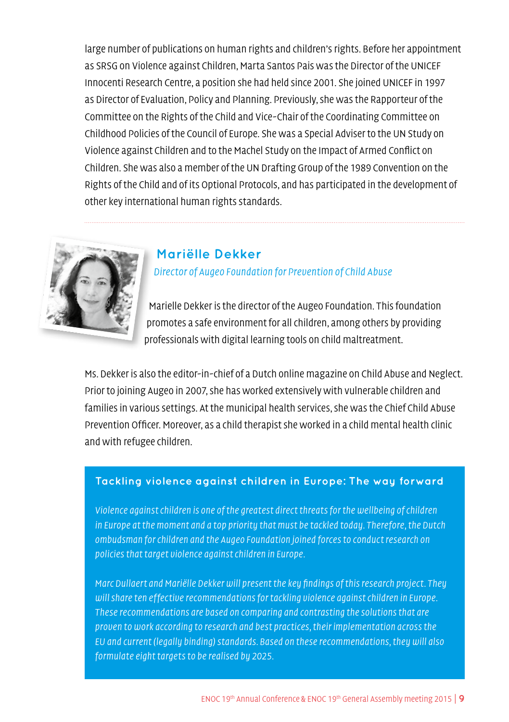large number of publications on human rights and children's rights. Before her appointment as SRSG on Violence against Children, Marta Santos Pais was the Director of the UNICEF Innocenti Research Centre, a position she had held since 2001. She joined UNICEF in 1997 as Director of Evaluation, Policy and Planning. Previously, she was the Rapporteur of the Committee on the Rights of the Child and Vice-Chair of the Coordinating Committee on Childhood Policies of the Council of Europe. She was a Special Adviser to the UN Study on Violence against Children and to the Machel Study on the Impact of Armed Conflict on Children. She was also a member of the UN Drafting Group of the 1989 Convention on the Rights of the Child and of its Optional Protocols, and has participated in the development of other key international human rights standards.



### **Mariëlle Dekker**

Director of Augeo Foundation for Prevention of Child Abuse

Marielle Dekker is the director of the Augeo Foundation. This foundation promotes a safe environment for all children, among others by providing professionals with digital learning tools on child maltreatment.

Ms. Dekker is also the editor-in-chief of a Dutch online magazine on Child Abuse and Neglect. Prior to joining Augeo in 2007, she has worked extensively with vulnerable children and families in various settings. At the municipal health services, she was the Chief Child Abuse Prevention Officer. Moreover, as a child therapist she worked in a child mental health clinic and with refugee children.

### **Tackling violence against children in Europe: The way forward**

Violence against children is one of the greatest direct threats for the wellbeing of children in Europe at the moment and a top priority that must be tackled today. Therefore, the Dutch ombudsman for children and the Augeo Foundation joined forces to conduct research on policies that target violence against children in Europe.

Marc Dullaert and Mariëlle Dekker will present the key findings of this research project. They will share ten effective recommendations for tackling violence against children in Europe. These recommendations are based on comparing and contrasting the solutions that are proven to work according to research and best practices, their implementation across the EU and current (legally binding) standards. Based on these recommendations, they will also formulate eight targets to be realised by 2025.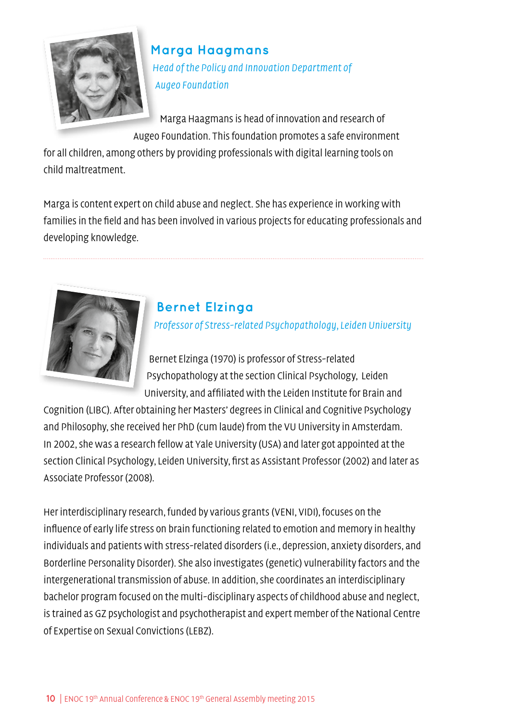

# **Marga Haagmans** Head of the Policy and Innovation Department of Augeo Foundation

Marga Haagmans is head of innovation and research of Augeo Foundation. This foundation promotes a safe environment

for all children, among others by providing professionals with digital learning tools on child maltreatment.

Marga is content expert on child abuse and neglect. She has experience in working with families in the field and has been involved in various projects for educating professionals and developing knowledge.



## **Bernet Elzinga**

Professor of Stress-related Psychopathology, Leiden University

Bernet Elzinga (1970) is professor of Stress-related Psychopathology at the section Clinical Psychology, Leiden University, and affiliated with the Leiden Institute for Brain and

Cognition (LIBC). After obtaining her Masters' degrees in Clinical and Cognitive Psychology and Philosophy, she received her PhD (cum laude) from the VU University in Amsterdam. In 2002, she was a research fellow at Yale University (USA) and later got appointed at the section Clinical Psychology, Leiden University, first as Assistant Professor (2002) and later as Associate Professor (2008).

Her interdisciplinary research, funded by various grants (VENI, VIDI), focuses on the influence of early life stress on brain functioning related to emotion and memory in healthy individuals and patients with stress-related disorders (i.e., depression, anxiety disorders, and Borderline Personality Disorder). She also investigates (genetic) vulnerability factors and the intergenerational transmission of abuse. In addition, she coordinates an interdisciplinary bachelor program focused on the multi-disciplinary aspects of childhood abuse and neglect, is trained as GZ psychologist and psychotherapist and expert member of the National Centre of Expertise on Sexual Convictions (LEBZ).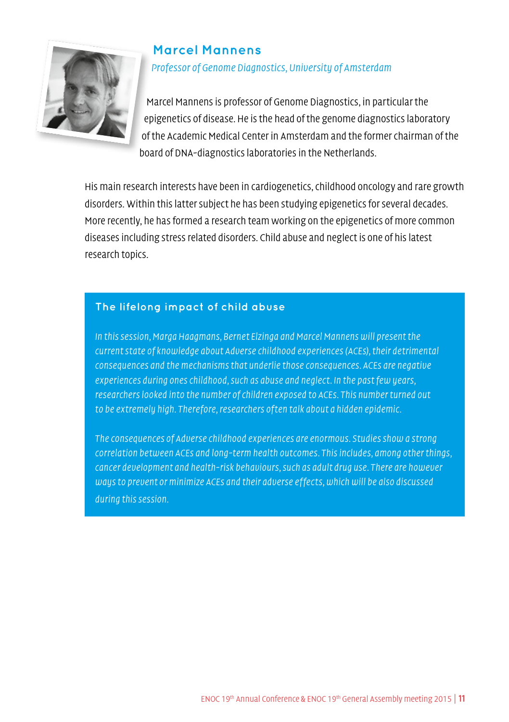

### **Marcel Mannens** Professor of Genome Diagnostics, University of Amsterdam

Marcel Mannens is professor of Genome Diagnostics, in particular the epigenetics of disease. He is the head of the genome diagnostics laboratory of the Academic Medical Center in Amsterdam and the former chairman of the board of DNA-diagnostics laboratories in the Netherlands.

His main research interests have been in cardiogenetics, childhood oncology and rare growth disorders. Within this latter subject he has been studying epigenetics for several decades. More recently, he has formed a research team working on the epigenetics of more common diseases including stress related disorders. Child abuse and neglect is one of his latest research topics.

### **The lifelong impact of child abuse**

In this session, Marga Haagmans, Bernet Elzinga and Marcel Mannens will present the current state of knowledge about Adverse childhood experiences (ACEs), their detrimental consequences and the mechanisms that underlie those consequences. ACEs are negative experiences during ones childhood, such as abuse and neglect. In the past few years, researchers looked into the number of children exposed to ACEs. This number turned out to be extremely high. Therefore, researchers often talk about a hidden epidemic.

The consequences of Adverse childhood experiences are enormous. Studies show a strong correlation between ACEs and long-term health outcomes. This includes, among other things, cancer development and health-risk behaviours, such as adult drug use. There are however ways to prevent or minimize ACEs and their adverse effects, which will be also discussed during this session.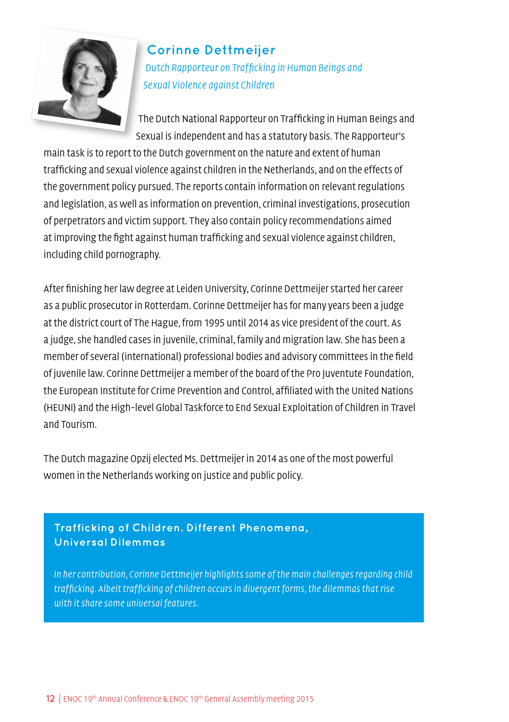

**Corinne Dettmeijer** Dutch Rapporteur on Trafficking in Human Beings and Sexual Violence against Children

The Dutch National Rapporteur on Trafficking in Human Beings and Sexual is independent and has a statutory basis. The Rapporteur's

main task is to report to the Dutch government on the nature and extent of human trafficking and sexual violence against children in the Netherlands, and on the effects of the government policy pursued. The reports contain information on relevant regulations and legislation, as well as information on prevention, criminal investigations, prosecution of perpetrators and victim support. They also contain policy recommendations aimed at improving the fight against human trafficking and sexual violence against children, including child pornography.

After finishing her law degree at Leiden University, Corinne Dettmeijer started her career as a public prosecutor in Rotterdam. Corinne Dettmeijer has for many years been a judge at the district court of The Hague, from 1995 until 2014 as vice president of the court. As a judge, she handled cases in juvenile, criminal, family and migration law. She has been a member of several (international) professional bodies and advisory committees in the field of juvenile law. Corinne Dettmeijer a member of the board of the Pro Juventute Foundation, the European Institute for Crime Prevention and Control, affiliated with the United Nations (HEUNI) and the High-level Global Taskforce to End Sexual Exploitation of Children in Travel and Tourism.

The Dutch magazine Opzij elected Ms. Dettmeijer in 2014 as one of the most powerful women in the Netherlands working on justice and public policy.

### **Trafficking of Children. Different Phenomena, Universal Dilemmas**

In her contribution, Corinne Dettmeijer highlights some of the main challenges regarding child trafficking. Albeit trafficking of children occurs in divergent forms, the dilemmas that rise with it share some universal features.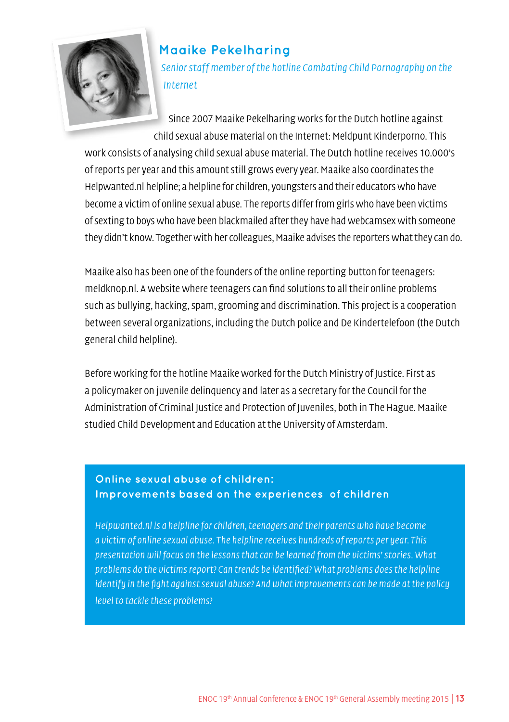

### **Maaike Pekelharing**

Senior staff member of the hotline Combating Child Pornography on the Internet

Since 2007 Maaike Pekelharing works for the Dutch hotline against child sexual abuse material on the Internet: Meldpunt Kinderporno. This

work consists of analysing child sexual abuse material. The Dutch hotline receives 10.000's of reports per year and this amount still grows every year. Maaike also coordinates the Helpwanted.nl helpline; a helpline for children, youngsters and their educators who have become a victim of online sexual abuse. The reports differ from girls who have been victims of sexting to boys who have been blackmailed after they have had webcamsex with someone they didn't know. Together with her colleagues, Maaike advises the reporters what they can do.

Maaike also has been one of the founders of the online reporting button for teenagers: meldknop.nl. A website where teenagers can find solutions to all their online problems such as bullying, hacking, spam, grooming and discrimination. This project is a cooperation between several organizations, including the Dutch police and De Kindertelefoon (the Dutch general child helpline).

Before working for the hotline Maaike worked for the Dutch Ministry of Justice. First as a policymaker on juvenile delinquency and later as a secretary for the Council for the Administration of Criminal Justice and Protection of Juveniles, both in The Hague. Maaike studied Child Development and Education at the University of Amsterdam.

### **Online sexual abuse of children: Improvements based on the experiences of children**

Helpwanted.nl is a helpline for children, teenagers and their parents who have become a victim of online sexual abuse. The helpline receives hundreds of reports per year. This presentation will focus on the lessons that can be learned from the victims' stories. What problems do the victims report? Can trends be identified? What problems does the helpline identify in the fight against sexual abuse? And what improvements can be made at the policy level to tackle these problems?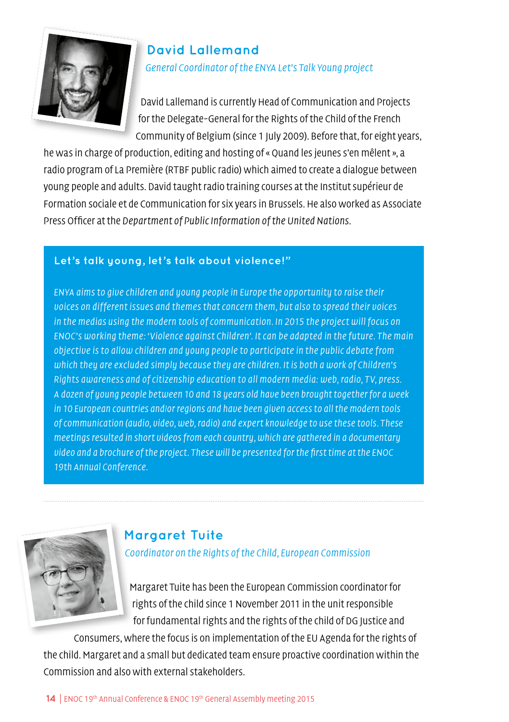

### **David Lallemand** General Coordinator of the ENYA Let's Talk Young project

David Lallemand is currently Head of Communication and Projects for the Delegate-General for the Rights of the Child of the French Community of Belgium (since 1 July 2009). Before that, for eight years,

he was in charge of production, editing and hosting of « Quand les jeunes s'en mêlent », a radio program of La Première (RTBF public radio) which aimed to create a dialogue between young people and adults. David taught radio training courses at the Institut supérieur de Formation sociale et de Communication for six years in Brussels. He also worked as Associate Press Officer at the Department of Public Information of the United Nations.

### **Let's talk young, let's talk about violence!"**

ENYA aims to give children and young people in Europe the opportunity to raise their voices on different issues and themes that concern them, but also to spread their voices in the medias using the modern tools of communication. In 2015 the project will focus on ENOC's working theme: 'Violence against Children'. It can be adapted in the future. The main objective is to allow children and young people to participate in the public debate from which they are excluded simply because they are children. It is both a work of Children's Rights awareness and of citizenship education to all modern media: web, radio, TV, press. A dozen of young people between 10 and 18 years old have been brought together for a week in 10 European countries and/or regions and have been given access to all the modern tools of communication (audio, video, web, radio) and expert knowledge to use these tools. These meetings resulted in short videos from each country, which are gathered in a documentary video and a brochure of the project. These will be presented for the first time at the ENOC 19th Annual Conference.



# **Margaret Tuite**

Coordinator on the Rights of the Child, European Commission

Margaret Tuite has been the European Commission coordinator for rights of the child since 1 November 2011 in the unit responsible for fundamental rights and the rights of the child of DG Justice and

Consumers, where the focus is on implementation of the EU Agenda for the rights of the child. Margaret and a small but dedicated team ensure proactive coordination within the Commission and also with external stakeholders.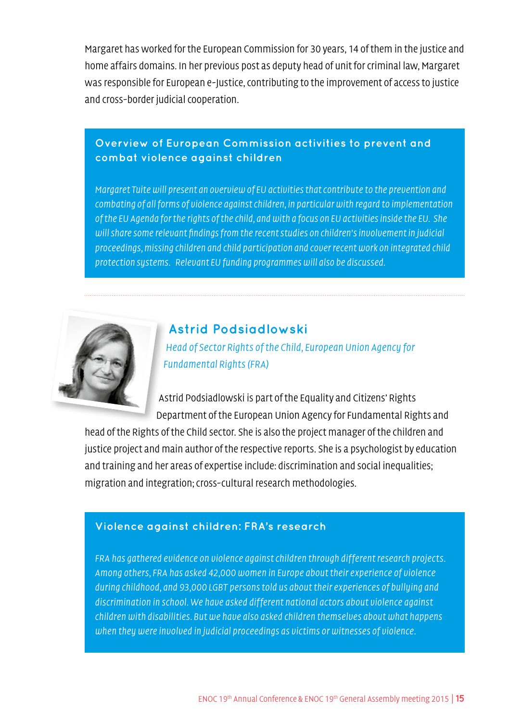Margaret has worked for the European Commission for 30 years, 14 of them in the justice and home affairs domains. In her previous post as deputy head of unit for criminal law, Margaret was responsible for European e-Justice, contributing to the improvement of access to justice and cross-border judicial cooperation.

### **Overview of European Commission activities to prevent and combat violence against children**

Margaret Tuite will present an overview of EU activities that contribute to the prevention and combating of all forms of violence against children, in particular with regard to implementation of the EU Agenda for the rights of the child, and with a focus on EU activities inside the EU. She will share some relevant findings from the recent studies on children's involvement in judicial proceedings, missing children and child participation and cover recent work on integrated child protection systems. Relevant EU funding programmes will also be discussed.



# **Astrid Podsiadlowski**

Head of Sector Rights of the Child, European Union Agency for Fundamental Rights (FRA)

Astrid Podsiadlowski is part of the Equality and Citizens' Rights Department of the European Union Agency for Fundamental Rights and

head of the Rights of the Child sector. She is also the project manager of the children and justice project and main author of the respective reports. She is a psychologist by education and training and her areas of expertise include: discrimination and social inequalities; migration and integration; cross-cultural research methodologies.

### **Violence against children: FRA's research**

FRA has gathered evidence on violence against children through different research projects. Among others, FRA has asked 42,000 women in Europe about their experience of violence during childhood, and 93,000 LGBT persons told us about their experiences of bullying and discrimination in school. We have asked different national actors about violence against children with disabilities. But we have also asked children themselves about what happens when they were involved in judicial proceedings as victims or witnesses of violence.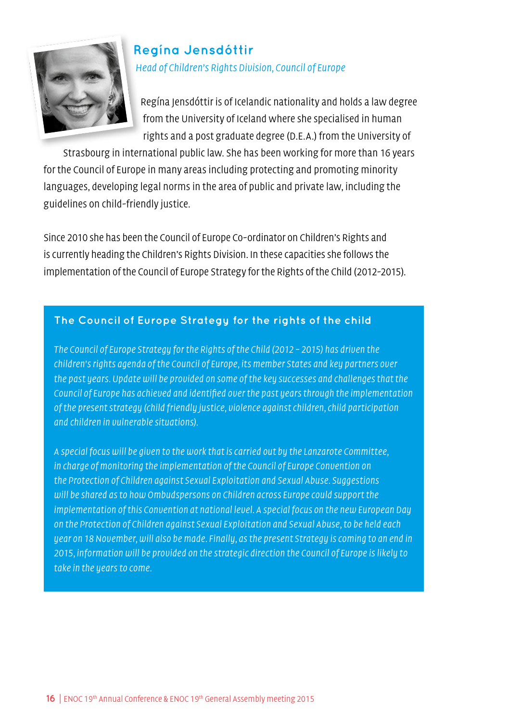

## **Regína Jensdóttir** Head of Children's Rights Division, Council of Europe

Regína Jensdóttir is of Icelandic nationality and holds a law degree from the University of Iceland where she specialised in human rights and a post graduate degree (D.E.A.) from the University of

Strasbourg in international public law. She has been working for more than 16 years for the Council of Europe in many areas including protecting and promoting minority languages, developing legal norms in the area of public and private law, including the guidelines on child-friendly justice.

Since 2010 she has been the Council of Europe Co-ordinator on Children's Rights and is currently heading the Children's Rights Division. In these capacities she follows the implementation of the Council of Europe Strategy for the Rights of the Child (2012-2015).

### **The Council of Europe Strategy for the rights of the child**

The Council of Europe Strategy for the Rights of the Child (2012 – 2015) has driven the children's rights agenda of the Council of Europe, its member States and key partners over the past years. Update will be provided on some of the key successes and challenges that the Council of Europe has achieved and identified over the past years through the implementation of the present strategy (child friendly justice, violence against children, child participation and children in vulnerable situations).

A special focus will be given to the work that is carried out by the Lanzarote Committee, in charge of monitoring the implementation of the Council of Europe Convention on the Protection of Children against Sexual Exploitation and Sexual Abuse. Suggestions will be shared as to how Ombudspersons on Children across Europe could support the implementation of this Convention at national level. A special focus on the new European Day on the Protection of Children against Sexual Exploitation and Sexual Abuse, to be held each year on 18 November, will also be made. Finally, as the present Strategy is coming to an end in 2015, information will be provided on the strategic direction the Council of Europe is likely to take in the years to come.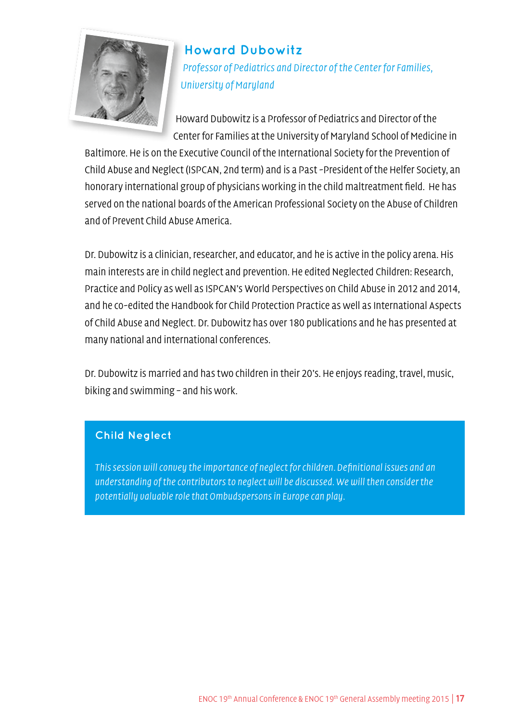

### **Howard Dubowitz**

Professor of Pediatrics and Director of the Center for Families, University of Maryland

Howard Dubowitz is a Professor of Pediatrics and Director of the Center for Families at the University of Maryland School of Medicine in

Baltimore. He is on the Executive Council of the International Society for the Prevention of Child Abuse and Neglect (ISPCAN, 2nd term) and is a Past -President of the Helfer Society, an honorary international group of physicians working in the child maltreatment field. He has served on the national boards of the American Professional Society on the Abuse of Children and of Prevent Child Abuse America.

Dr. Dubowitz is a clinician, researcher, and educator, and he is active in the policy arena. His main interests are in child neglect and prevention. He edited Neglected Children: Research, Practice and Policy as well as ISPCAN's World Perspectives on Child Abuse in 2012 and 2014, and he co-edited the Handbook for Child Protection Practice as well as International Aspects of Child Abuse and Neglect. Dr. Dubowitz has over 180 publications and he has presented at many national and international conferences.

Dr. Dubowitz is married and has two children in their 20's. He enjoys reading, travel, music, biking and swimming – and his work.

### **Child Neglect**

This session will convey the importance of neglect for children. Definitional issues and an understanding of the contributors to neglect will be discussed. We will then consider the potentially valuable role that Ombudspersons in Europe can play.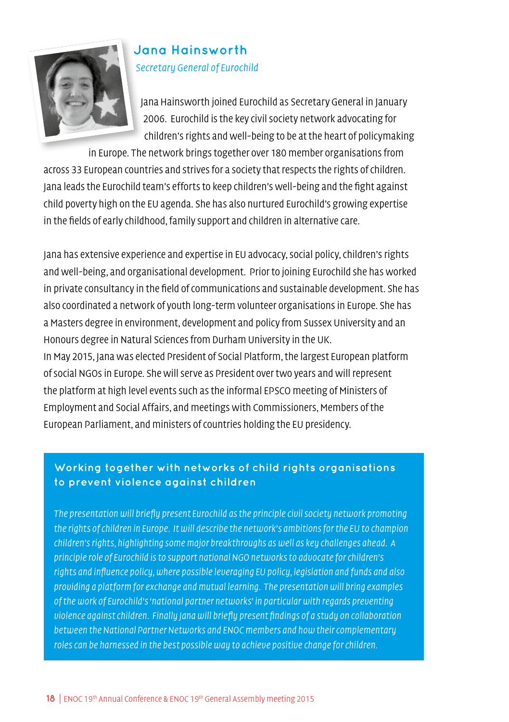

### **Jana Hainsworth** Secretary General of Eurochild

Jana Hainsworth joined Eurochild as Secretary General in January 2006. Eurochild is the key civil society network advocating for children's rights and well-being to be at the heart of policymaking

in Europe. The network brings together over 180 member organisations from across 33 European countries and strives for a society that respects the rights of children. Jana leads the Eurochild team's efforts to keep children's well-being and the fight against child poverty high on the EU agenda. She has also nurtured Eurochild's growing expertise in the fields of early childhood, family support and children in alternative care.

Jana has extensive experience and expertise in EU advocacy, social policy, children's rights and well-being, and organisational development. Prior to joining Eurochild she has worked in private consultancy in the field of communications and sustainable development. She has also coordinated a network of youth long-term volunteer organisations in Europe. She has a Masters degree in environment, development and policy from Sussex University and an Honours degree in Natural Sciences from Durham University in the UK. In May 2015, Jana was elected President of Social Platform, the largest European platform of social NGOs in Europe. She will serve as President over two years and will represent the platform at high level events such as the informal EPSCO meeting of Ministers of Employment and Social Affairs, and meetings with Commissioners, Members of the European Parliament, and ministers of countries holding the EU presidency.

### **Working together with networks of child rights organisations to prevent violence against children**

The presentation will briefly present Eurochild as the principle civil society network promoting the rights of children in Europe. It will describe the network's ambitions for the EU to champion children's rights, highlighting some major breakthroughs as well as key challenges ahead. A principle role of Eurochild is to support national NGO networks to advocate for children's rights and influence policy, where possible leveraging EU policy, legislation and funds and also providing a platform for exchange and mutual learning. The presentation will bring examples of the work of Eurochild's 'national partner networks' in particular with regards preventing violence against children. Finally Jana will briefly present findings of a study on collaboration between the National Partner Networks and ENOC members and how their complementary roles can be harnessed in the best possible way to achieve positive change for children.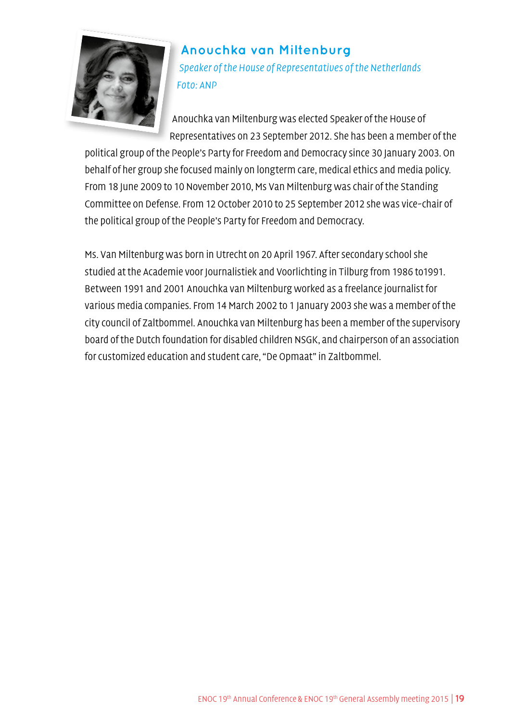

## **Anouchka van Miltenburg** Speaker of the House of Representatives of the Netherlands Foto: ANP

Anouchka van Miltenburg was elected Speaker of the House of Representatives on 23 September 2012. She has been a member of the

political group of the People's Party for Freedom and Democracy since 30 January 2003. On behalf of her group she focused mainly on longterm care, medical ethics and media policy. From 18 June 2009 to 10 November 2010, Ms Van Miltenburg was chair of the Standing Committee on Defense. From 12 October 2010 to 25 September 2012 she was vice-chair of the political group of the People's Party for Freedom and Democracy.

Ms. Van Miltenburg was born in Utrecht on 20 April 1967. After secondary school she studied at the Academie voor Journalistiek and Voorlichting in Tilburg from 1986 to1991. Between 1991 and 2001 Anouchka van Miltenburg worked as a freelance journalist for various media companies. From 14 March 2002 to 1 January 2003 she was a member of the city council of Zaltbommel. Anouchka van Miltenburg has been a member of the supervisory board of the Dutch foundation for disabled children NSGK, and chairperson of an association for customized education and student care, "De Opmaat" in Zaltbommel.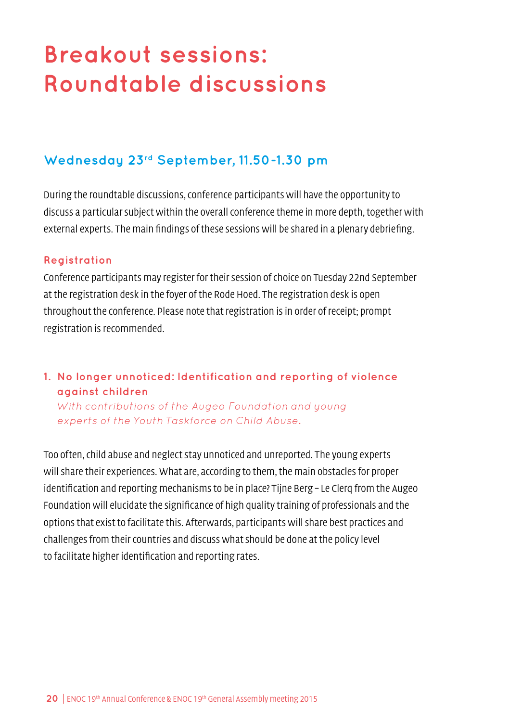# <span id="page-19-0"></span>**Breakout sessions: Roundtable discussions**

### **Wednesday 23rd September, 11.50-1.30 pm**

During the roundtable discussions, conference participants will have the opportunity to discuss a particular subject within the overall conference theme in more depth, together with external experts. The main findings of these sessions will be shared in a plenary debriefing.

### **Registration**

Conference participants may register for their session of choice on Tuesday 22nd September at the registration desk in the foyer of the Rode Hoed. The registration desk is open throughout the conference. Please note that registration is in order of receipt; prompt registration is recommended.

### **1. No longer unnoticed: Identification and reporting of violence against children**

With contributions of the Augeo Foundation and young experts of the Youth Taskforce on Child Abuse.

Too often, child abuse and neglect stay unnoticed and unreported. The young experts will share their experiences. What are, according to them, the main obstacles for proper identification and reporting mechanisms to be in place? Tijne Berg – Le Clerq from the Augeo Foundation will elucidate the significance of high quality training of professionals and the options that exist to facilitate this. Afterwards, participants will share best practices and challenges from their countries and discuss what should be done at the policy level to facilitate higher identification and reporting rates.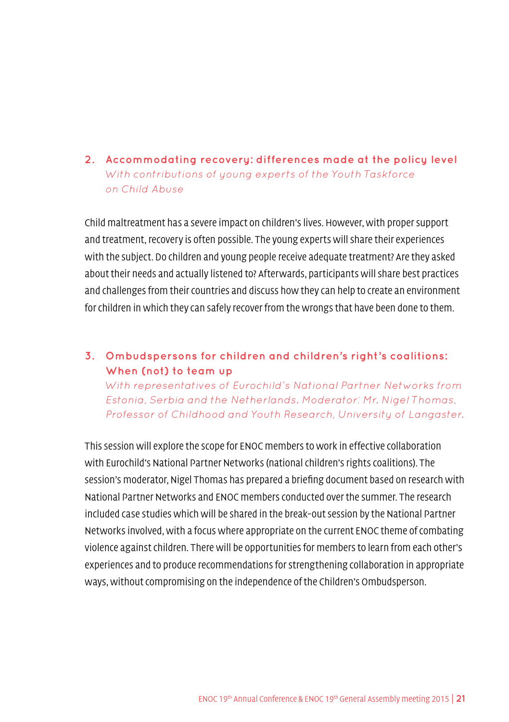**2. Accommodating recovery: differences made at the policy level** With contributions of young experts of the Youth Taskforce on Child Abuse

Child maltreatment has a severe impact on children's lives. However, with proper support and treatment, recovery is often possible. The young experts will share their experiences with the subject. Do children and young people receive adequate treatment? Are they asked about their needs and actually listened to? Afterwards, participants will share best practices and challenges from their countries and discuss how they can help to create an environment for children in which they can safely recover from the wrongs that have been done to them.

### **3. Ombudspersons for children and children's right's coalitions: When (not) to team up**

With representatives of Eurochild's National Partner Networks from Estonia, Serbia and the Netherlands. Moderator: Mr. Nigel Thomas, Professor of Childhood and Youth Research, University of Langaster.

This session will explore the scope for ENOC members to work in effective collaboration with Eurochild's National Partner Networks (national children's rights coalitions). The session's moderator, Nigel Thomas has prepared a briefing document based on research with National Partner Networks and ENOC members conducted over the summer. The research included case studies which will be shared in the break-out session by the National Partner Networks involved, with a focus where appropriate on the current ENOC theme of combating violence against children. There will be opportunities for members to learn from each other's experiences and to produce recommendations for strengthening collaboration in appropriate ways, without compromising on the independence of the Children's Ombudsperson.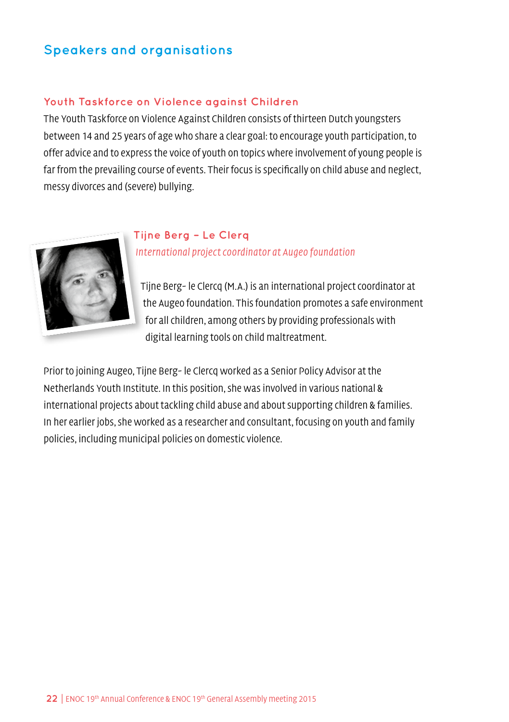# **Speakers and organisations**

#### **Youth Taskforce on Violence against Children**

The Youth Taskforce on Violence Against Children consists of thirteen Dutch youngsters between 14 and 25 years of age who share a clear goal: to encourage youth participation, to offer advice and to express the voice of youth on topics where involvement of young people is far from the prevailing course of events. Their focus is specifically on child abuse and neglect, messy divorces and (severe) bullying.



### **Tijne Berg – Le Clerq** International project coordinator at Augeo foundation

Tijne Berg- le Clercq (M.A.) is an international project coordinator at the Augeo foundation. This foundation promotes a safe environment for all children, among others by providing professionals with digital learning tools on child maltreatment.

Prior to joining Augeo, Tijne Berg- le Clercq worked as a Senior Policy Advisor at the Netherlands Youth Institute. In this position, she was involved in various national & international projects about tackling child abuse and about supporting children & families. In her earlier jobs, she worked as a researcher and consultant, focusing on youth and family policies, including municipal policies on domestic violence.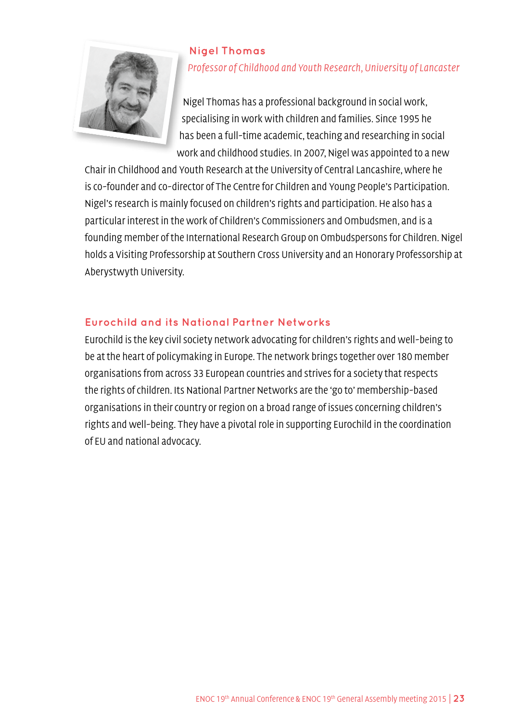

### **Nigel Thomas** Professor of Childhood and Youth Research, University of Lancaster

Nigel Thomas has a professional background in social work, specialising in work with children and families. Since 1995 he has been a full-time academic, teaching and researching in social work and childhood studies. In 2007, Nigel was appointed to a new

Chair in Childhood and Youth Research at the University of Central Lancashire, where he is co-founder and co-director of The Centre for Children and Young People's Participation. Nigel's research is mainly focused on children's rights and participation. He also has a particular interest in the work of Children's Commissioners and Ombudsmen, and is a founding member of the International Research Group on Ombudspersons for Children. Nigel holds a Visiting Professorship at Southern Cross University and an Honorary Professorship at Aberystwyth University.

### **Eurochild and its National Partner Networks**

Eurochild is the key civil society network advocating for children's rights and well-being to be at the heart of policymaking in Europe. The network brings together over 180 member organisations from across 33 European countries and strives for a society that respects the rights of children. Its National Partner Networks are the 'go to' membership-based organisations in their country or region on a broad range of issues concerning children's rights and well-being. They have a pivotal role in supporting Eurochild in the coordination of EU and national advocacy.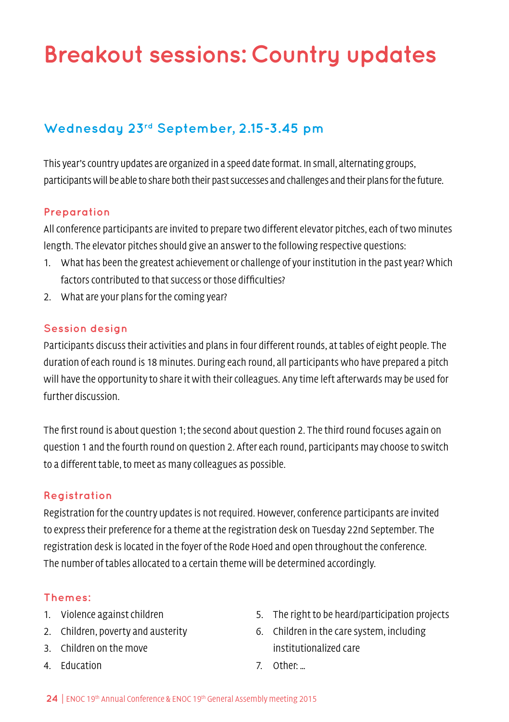# <span id="page-23-0"></span>**Breakout sessions: Country updates**

# **Wednesday 23rd September, 2.15-3.45 pm**

This year's country updates are organized in a speed date format. In small, alternating groups, participants will be able to share both their past successes and challenges and their plans for the future.

### **Preparation**

All conference participants are invited to prepare two different elevator pitches, each of two minutes length. The elevator pitches should give an answer to the following respective questions:

- 1. What has been the greatest achievement or challenge of your institution in the past year? Which factors contributed to that success or those difficulties?
- 2. What are your plans for the coming year?

### **Session design**

Participants discuss their activities and plans in four different rounds, at tables of eight people. The duration of each round is 18 minutes. During each round, all participants who have prepared a pitch will have the opportunity to share it with their colleagues. Any time left afterwards may be used for further discussion.

The first round is about question 1; the second about question 2. The third round focuses again on question 1 and the fourth round on question 2. After each round, participants may choose to switch to a different table, to meet as many colleagues as possible.

### **Registration**

Registration for the country updates is not required. However, conference participants are invited to express their preference for a theme at the registration desk on Tuesday 22nd September. The registration desk is located in the foyer of the Rode Hoed and open throughout the conference. The number of tables allocated to a certain theme will be determined accordingly.

### **Themes:**

- 1. Violence against children
- 2. Children, poverty and austerity
- 3. Children on the move
- 4. Education
- 5. The right to be heard/participation projects
- 6. Children in the care system, including institutionalized care
- 7. Other: …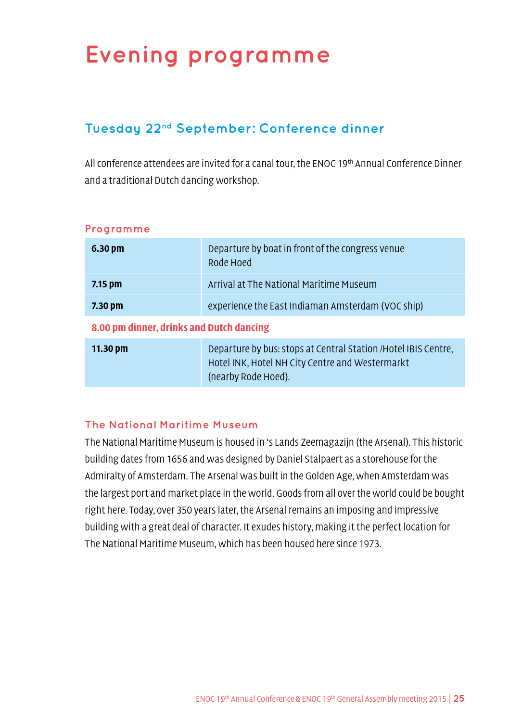# <span id="page-24-0"></span>**Evening programme**

# **Tuesday 22nd September: Conference dinner**

All conference attendees are invited for a canal tour, the ENOC 19<sup>th</sup> Annual Conference Dinner and a traditional Dutch dancing workshop.

| 6.30 <sub>pm</sub>                       | Departure by boat in front of the congress venue<br>Rode Hoed                                                                             |  |  |
|------------------------------------------|-------------------------------------------------------------------------------------------------------------------------------------------|--|--|
| $7.15$ pm                                | Arrival at The National Maritime Museum                                                                                                   |  |  |
| 7.30 pm                                  | experience the East Indiaman Amsterdam (VOC ship)                                                                                         |  |  |
| 8.00 pm dinner, drinks and Dutch dancing |                                                                                                                                           |  |  |
| 11.30 pm                                 | Departure by bus: stops at Central Station / Hotel IBIS Centre,<br>Hotel INK, Hotel NH City Centre and Westermarkt<br>(nearby Rode Hoed). |  |  |

#### **Programme**

### **The National Maritime Museum**

The National Maritime Museum is housed in 's Lands Zeemagazijn (the Arsenal). This historic building dates from 1656 and was designed by Daniel Stalpaert as a storehouse for the Admiralty of Amsterdam. The Arsenal was built in the Golden Age, when Amsterdam was the largest port and market place in the world. Goods from all over the world could be bought right here. Today, over 350 years later, the Arsenal remains an imposing and impressive building with a great deal of character. It exudes history, making it the perfect location for The National Maritime Museum, which has been housed here since 1973.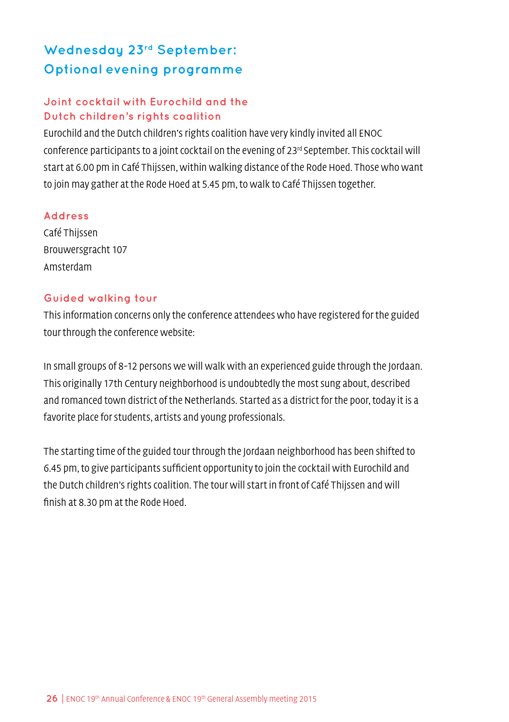# **Wednesday 23rd September: Optional evening programme**

### **Joint cocktail with Eurochild and the Dutch children's rights coalition**

Eurochild and the Dutch children's rights coalition have very kindly invited all ENOC conference participants to a joint cocktail on the evening of  $23^{rd}$  September. This cocktail will start at 6.00 pm in Café Thijssen, within walking distance of the Rode Hoed. Those who want to join may gather at the Rode Hoed at 5.45 pm, to walk to Café Thijssen together.

### **Address**

Café Thijssen Brouwersgracht 107 Amsterdam

### **Guided walking tour**

This information concerns only the conference attendees who have registered for the guided tour through the conference website:

In small groups of 8-12 persons we will walk with an experienced guide through the Jordaan. This originally 17th Century neighborhood is undoubtedly the most sung about, described and romanced town district of the Netherlands. Started as a district for the poor, today it is a favorite place for students, artists and young professionals.

The starting time of the guided tour through the Jordaan neighborhood has been shifted to 6.45 pm, to give participants sufficient opportunity to join the cocktail with Eurochild and the Dutch children's rights coalition. The tour will start in front of Café Thijssen and will finish at 8.30 pm at the Rode Hoed.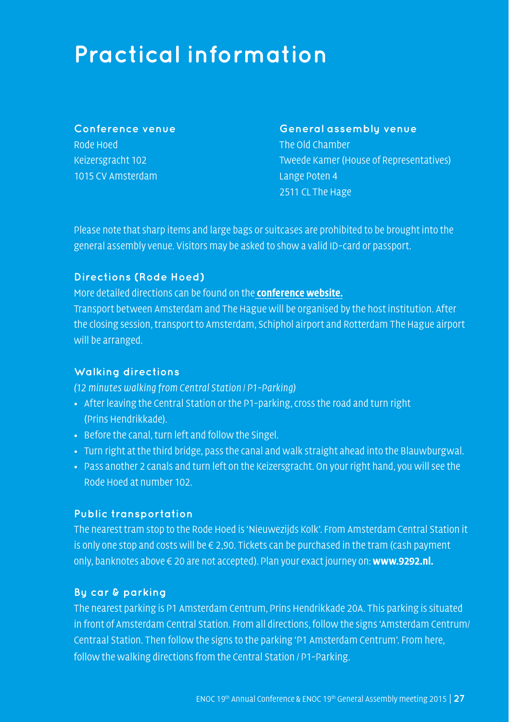# <span id="page-26-0"></span>**Practical information**

### **Conference venue** Rode Hoed Keizersgracht 102 1015 CV Amsterdam

#### **General assembly venue**

The Old Chamber Tweede Kamer (House of Representatives) Lange Poten 4 2511 CL The Hage

Please note that sharp items and large bags or suitcases are prohibited to be brought into the general assembly venue. Visitors may be asked to show a valid ID-card or passport.

### **Directions (Rode Hoed)**

More detailed directions can be found on the **[conference website.](http://www.roijecongressen.com/inschrijven/index.php?event_id=60&veld=route)**

Transport between Amsterdam and The Hague will be organised by the host institution. After the closing session, transport to Amsterdam, Schiphol airport and Rotterdam The Hague airport will be arranged.

### **Walking directions**

(12 minutes walking from Central Station / P1-Parking)

- After leaving the Central Station or the P1-parking, cross the road and turn right (Prins Hendrikkade).
- Before the canal, turn left and follow the Singel.
- Turn right at the third bridge, pass the canal and walk straight ahead into the Blauwburgwal.
- Pass another 2 canals and turn left on the Keizersgracht. On your right hand, you will see the Rode Hoed at number 102.

### **Public transportation**

The nearest tram stop to the Rode Hoed is 'Nieuwezijds Kolk'. From Amsterdam Central Station it is only one stop and costs will be  $\epsilon$  2,90. Tickets can be purchased in the tram (cash payment only, banknotes above € 20 are not accepted). Plan your exact journey on: **www.9292.nl.**

#### **By car & parking**

The nearest parking is P1 Amsterdam Centrum, Prins Hendrikkade 20A. This parking is situated in front of Amsterdam Central Station. From all directions, follow the signs 'Amsterdam Centrum/ Centraal Station. Then follow the signs to the parking 'P1 Amsterdam Centrum'. From here, follow the walking directions from the Central Station / P1-Parking.